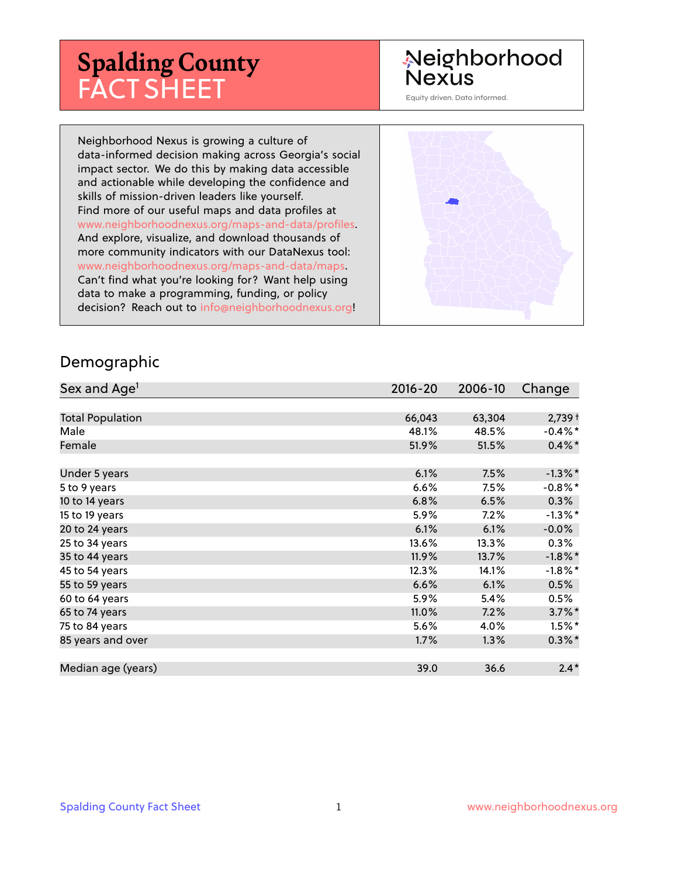# **Spalding County** FACT SHEET

## Neighborhood Nexus

Equity driven. Data informed.

Neighborhood Nexus is growing a culture of data-informed decision making across Georgia's social impact sector. We do this by making data accessible and actionable while developing the confidence and skills of mission-driven leaders like yourself. Find more of our useful maps and data profiles at www.neighborhoodnexus.org/maps-and-data/profiles. And explore, visualize, and download thousands of more community indicators with our DataNexus tool: www.neighborhoodnexus.org/maps-and-data/maps. Can't find what you're looking for? Want help using data to make a programming, funding, or policy decision? Reach out to [info@neighborhoodnexus.org!](mailto:info@neighborhoodnexus.org)



#### Demographic

| Sex and Age <sup>1</sup> | $2016 - 20$ | 2006-10 | Change               |
|--------------------------|-------------|---------|----------------------|
|                          |             |         |                      |
| <b>Total Population</b>  | 66,043      | 63,304  | $2,739+$             |
| Male                     | 48.1%       | 48.5%   | $-0.4\%$ *           |
| Female                   | 51.9%       | 51.5%   | $0.4\%$ *            |
|                          |             |         |                      |
| Under 5 years            | 6.1%        | 7.5%    | $-1.3\%$ *           |
| 5 to 9 years             | 6.6%        | 7.5%    | $-0.8\%$ *           |
| 10 to 14 years           | 6.8%        | 6.5%    | $0.3\%$              |
| 15 to 19 years           | 5.9%        | $7.2\%$ | $-1.3\%$ *           |
| 20 to 24 years           | 6.1%        | 6.1%    | $-0.0%$              |
| 25 to 34 years           | 13.6%       | 13.3%   | $0.3\%$              |
| 35 to 44 years           | 11.9%       | 13.7%   | $-1.8\%$ *           |
| 45 to 54 years           | 12.3%       | 14.1%   | $-1.8\%$ *           |
| 55 to 59 years           | 6.6%        | 6.1%    | 0.5%                 |
| 60 to 64 years           | 5.9%        | 5.4%    | 0.5%                 |
| 65 to 74 years           | 11.0%       | 7.2%    | $3.7\%$ <sup>*</sup> |
| 75 to 84 years           | 5.6%        | 4.0%    | $1.5\%$ *            |
| 85 years and over        | 1.7%        | 1.3%    | $0.3\%$ *            |
|                          |             |         |                      |
| Median age (years)       | 39.0        | 36.6    | $2.4*$               |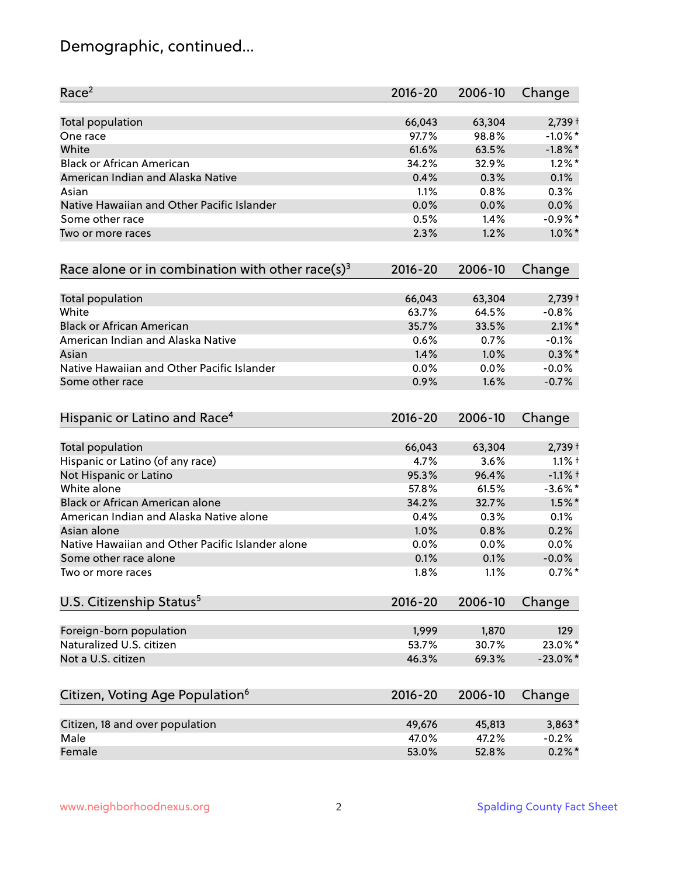## Demographic, continued...

| Race <sup>2</sup>                                   | $2016 - 20$ | 2006-10 | Change      |
|-----------------------------------------------------|-------------|---------|-------------|
| <b>Total population</b>                             | 66,043      | 63,304  | $2,739+$    |
| One race                                            | 97.7%       | 98.8%   | $-1.0\%$ *  |
| White                                               | 61.6%       | 63.5%   | $-1.8\%$ *  |
| <b>Black or African American</b>                    | 34.2%       | 32.9%   | $1.2\%$ *   |
| American Indian and Alaska Native                   | 0.4%        | 0.3%    | 0.1%        |
| Asian                                               | 1.1%        | 0.8%    | 0.3%        |
| Native Hawaiian and Other Pacific Islander          | 0.0%        | 0.0%    | 0.0%        |
| Some other race                                     | 0.5%        | 1.4%    | $-0.9\%$ *  |
| Two or more races                                   | 2.3%        | 1.2%    | $1.0\%$ *   |
| Race alone or in combination with other race(s) $3$ | $2016 - 20$ | 2006-10 | Change      |
| Total population                                    | 66,043      | 63,304  | $2,739+$    |
| White                                               | 63.7%       | 64.5%   | $-0.8%$     |
| <b>Black or African American</b>                    | 35.7%       | 33.5%   | $2.1\%$ *   |
| American Indian and Alaska Native                   | 0.6%        | 0.7%    | $-0.1%$     |
| Asian                                               | 1.4%        | 1.0%    | $0.3\%$ *   |
| Native Hawaiian and Other Pacific Islander          | 0.0%        | 0.0%    | $-0.0%$     |
| Some other race                                     | 0.9%        | 1.6%    | $-0.7%$     |
| Hispanic or Latino and Race <sup>4</sup>            | $2016 - 20$ | 2006-10 | Change      |
| <b>Total population</b>                             | 66,043      | 63,304  | $2,739+$    |
| Hispanic or Latino (of any race)                    | 4.7%        | 3.6%    | $1.1%$ †    |
| Not Hispanic or Latino                              | 95.3%       | 96.4%   | $-1.1%$ +   |
| White alone                                         | 57.8%       | 61.5%   | $-3.6\%$ *  |
| Black or African American alone                     | 34.2%       | 32.7%   | $1.5\%$ *   |
| American Indian and Alaska Native alone             | 0.4%        | 0.3%    | 0.1%        |
| Asian alone                                         | 1.0%        | 0.8%    | 0.2%        |
| Native Hawaiian and Other Pacific Islander alone    | 0.0%        | 0.0%    | $0.0\%$     |
| Some other race alone                               | 0.1%        | 0.1%    | $-0.0%$     |
| Two or more races                                   | 1.8%        | 1.1%    | $0.7%$ *    |
| U.S. Citizenship Status <sup>5</sup>                | $2016 - 20$ | 2006-10 | Change      |
| Foreign-born population                             | 1,999       | 1,870   | 129         |
| Naturalized U.S. citizen                            | 53.7%       | 30.7%   | 23.0%*      |
| Not a U.S. citizen                                  | 46.3%       | 69.3%   | $-23.0\%$ * |
|                                                     |             |         |             |
| Citizen, Voting Age Population <sup>6</sup>         | $2016 - 20$ | 2006-10 | Change      |
| Citizen, 18 and over population                     | 49,676      | 45,813  | 3,863*      |
| Male                                                | 47.0%       | 47.2%   | $-0.2%$     |
| Female                                              | 53.0%       | 52.8%   | $0.2\%$ *   |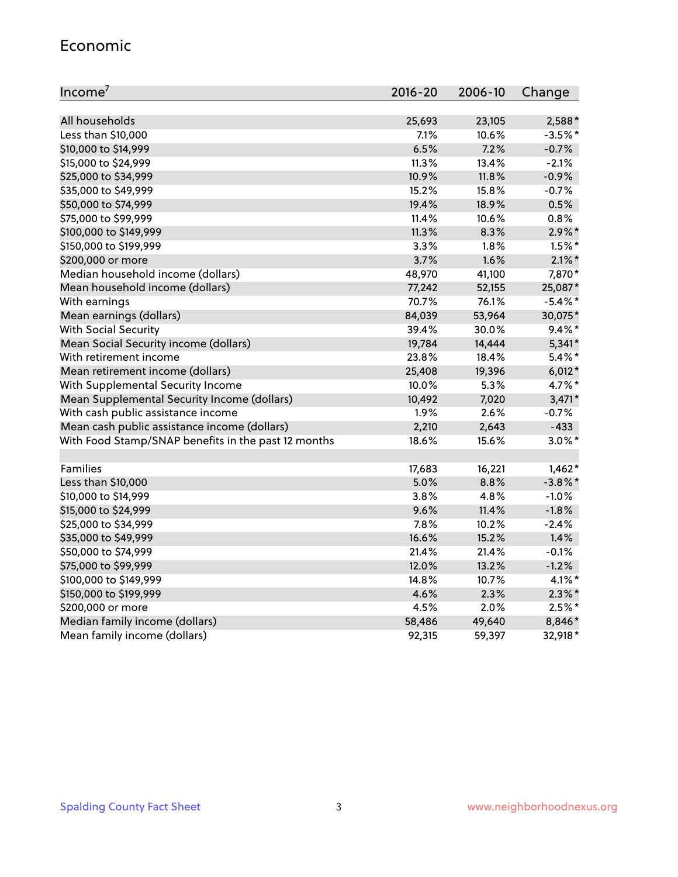#### Economic

| Income <sup>7</sup>                                 | $2016 - 20$ | 2006-10 | Change     |
|-----------------------------------------------------|-------------|---------|------------|
|                                                     |             |         |            |
| All households                                      | 25,693      | 23,105  | 2,588*     |
| Less than \$10,000                                  | 7.1%        | 10.6%   | $-3.5%$ *  |
| \$10,000 to \$14,999                                | 6.5%        | 7.2%    | $-0.7%$    |
| \$15,000 to \$24,999                                | 11.3%       | 13.4%   | $-2.1%$    |
| \$25,000 to \$34,999                                | 10.9%       | 11.8%   | $-0.9%$    |
| \$35,000 to \$49,999                                | 15.2%       | 15.8%   | $-0.7%$    |
| \$50,000 to \$74,999                                | 19.4%       | 18.9%   | 0.5%       |
| \$75,000 to \$99,999                                | 11.4%       | 10.6%   | 0.8%       |
| \$100,000 to \$149,999                              | 11.3%       | 8.3%    | $2.9\%$ *  |
| \$150,000 to \$199,999                              | 3.3%        | 1.8%    | $1.5\%$ *  |
| \$200,000 or more                                   | 3.7%        | 1.6%    | $2.1\%$ *  |
| Median household income (dollars)                   | 48,970      | 41,100  | 7,870*     |
| Mean household income (dollars)                     | 77,242      | 52,155  | 25,087*    |
| With earnings                                       | 70.7%       | 76.1%   | $-5.4\%$ * |
| Mean earnings (dollars)                             | 84,039      | 53,964  | 30,075*    |
| <b>With Social Security</b>                         | 39.4%       | 30.0%   | $9.4\%$ *  |
| Mean Social Security income (dollars)               | 19,784      | 14,444  | $5,341*$   |
| With retirement income                              | 23.8%       | 18.4%   | $5.4\%$ *  |
| Mean retirement income (dollars)                    | 25,408      | 19,396  | $6,012*$   |
| With Supplemental Security Income                   | 10.0%       | 5.3%    | 4.7%*      |
| Mean Supplemental Security Income (dollars)         | 10,492      | 7,020   | $3,471*$   |
| With cash public assistance income                  | 1.9%        | 2.6%    | $-0.7%$    |
| Mean cash public assistance income (dollars)        | 2,210       | 2,643   | $-433$     |
| With Food Stamp/SNAP benefits in the past 12 months | 18.6%       | 15.6%   | $3.0\%$ *  |
|                                                     |             |         |            |
| Families                                            | 17,683      | 16,221  | $1,462*$   |
| Less than \$10,000                                  | 5.0%        | 8.8%    | $-3.8\%$ * |
| \$10,000 to \$14,999                                | 3.8%        | 4.8%    | $-1.0%$    |
| \$15,000 to \$24,999                                | 9.6%        | 11.4%   | $-1.8%$    |
| \$25,000 to \$34,999                                | 7.8%        | 10.2%   | $-2.4%$    |
| \$35,000 to \$49,999                                | 16.6%       | 15.2%   | 1.4%       |
| \$50,000 to \$74,999                                | 21.4%       | 21.4%   | $-0.1%$    |
| \$75,000 to \$99,999                                | 12.0%       | 13.2%   | $-1.2%$    |
| \$100,000 to \$149,999                              | 14.8%       | 10.7%   | $4.1\%$ *  |
| \$150,000 to \$199,999                              | 4.6%        | 2.3%    | $2.3\%$ *  |
| \$200,000 or more                                   | 4.5%        | 2.0%    | $2.5%$ *   |
| Median family income (dollars)                      | 58,486      | 49,640  | 8,846*     |
| Mean family income (dollars)                        | 92,315      | 59,397  | 32,918*    |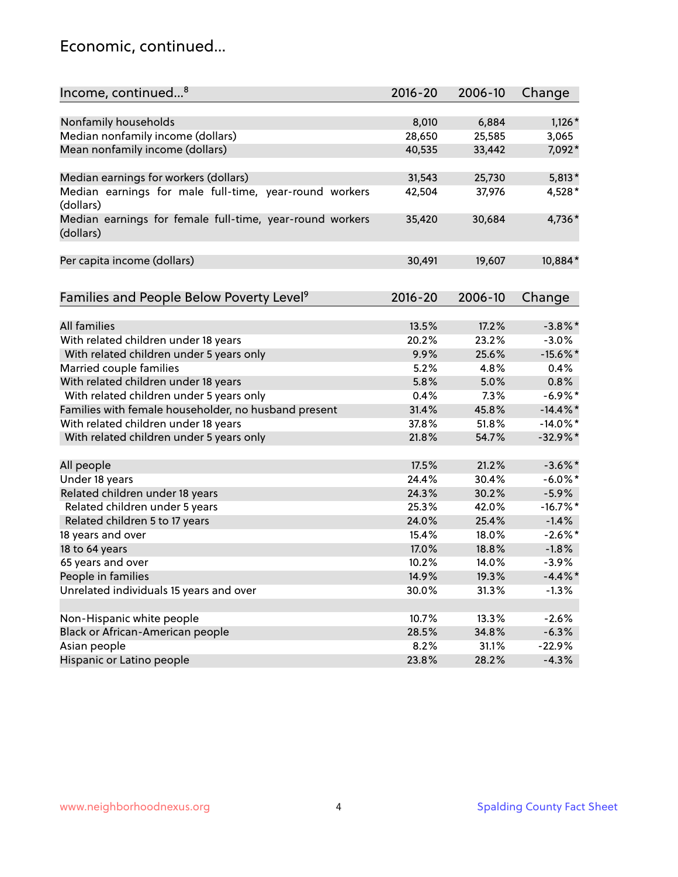### Economic, continued...

| Income, continued <sup>8</sup>                                        | $2016 - 20$ | 2006-10 | Change      |
|-----------------------------------------------------------------------|-------------|---------|-------------|
|                                                                       |             |         |             |
| Nonfamily households                                                  | 8,010       | 6,884   | $1,126*$    |
| Median nonfamily income (dollars)                                     | 28,650      | 25,585  | 3,065       |
| Mean nonfamily income (dollars)                                       | 40,535      | 33,442  | 7,092*      |
| Median earnings for workers (dollars)                                 | 31,543      | 25,730  | $5,813*$    |
| Median earnings for male full-time, year-round workers                | 42,504      | 37,976  | 4,528*      |
| (dollars)                                                             |             |         |             |
| Median earnings for female full-time, year-round workers<br>(dollars) | 35,420      | 30,684  | 4,736*      |
| Per capita income (dollars)                                           | 30,491      | 19,607  | 10,884*     |
|                                                                       |             |         |             |
| Families and People Below Poverty Level <sup>9</sup>                  | $2016 - 20$ | 2006-10 | Change      |
| <b>All families</b>                                                   | 13.5%       |         |             |
|                                                                       |             | 17.2%   | $-3.8\%$ *  |
| With related children under 18 years                                  | 20.2%       | 23.2%   | $-3.0%$     |
| With related children under 5 years only                              | 9.9%        | 25.6%   | $-15.6\%$ * |
| Married couple families                                               | 5.2%        | 4.8%    | 0.4%        |
| With related children under 18 years                                  | 5.8%        | 5.0%    | 0.8%        |
| With related children under 5 years only                              | 0.4%        | 7.3%    | $-6.9\%$ *  |
| Families with female householder, no husband present                  | 31.4%       | 45.8%   | $-14.4\%$ * |
| With related children under 18 years                                  | 37.8%       | 51.8%   | $-14.0\%$ * |
| With related children under 5 years only                              | 21.8%       | 54.7%   | $-32.9%$ *  |
| All people                                                            | 17.5%       | 21.2%   | $-3.6\%$ *  |
| Under 18 years                                                        | 24.4%       | 30.4%   | $-6.0\%$ *  |
| Related children under 18 years                                       | 24.3%       | 30.2%   | $-5.9%$     |
| Related children under 5 years                                        | 25.3%       | 42.0%   | $-16.7\%$ * |
| Related children 5 to 17 years                                        | 24.0%       | 25.4%   | $-1.4%$     |
| 18 years and over                                                     | 15.4%       | 18.0%   | $-2.6\%$ *  |
| 18 to 64 years                                                        | 17.0%       | 18.8%   | $-1.8%$     |
| 65 years and over                                                     | 10.2%       | 14.0%   | $-3.9%$     |
| People in families                                                    | 14.9%       | 19.3%   | $-4.4\%$ *  |
| Unrelated individuals 15 years and over                               | 30.0%       | 31.3%   | $-1.3%$     |
|                                                                       |             |         |             |
| Non-Hispanic white people                                             | 10.7%       | 13.3%   | $-2.6%$     |
| Black or African-American people                                      | 28.5%       | 34.8%   | $-6.3%$     |
| Asian people                                                          | 8.2%        | 31.1%   | $-22.9%$    |
| Hispanic or Latino people                                             | 23.8%       | 28.2%   | $-4.3%$     |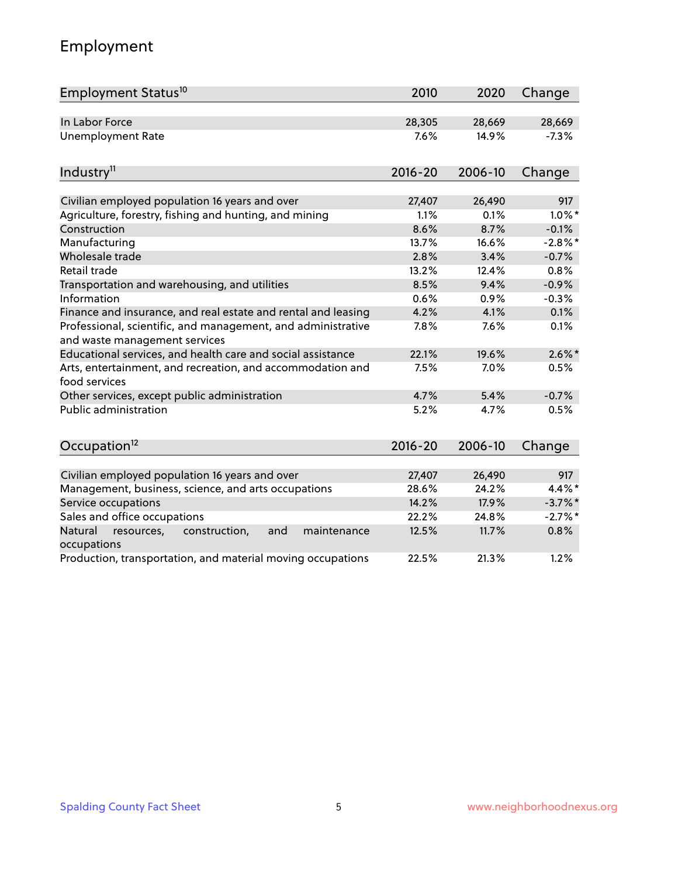## Employment

| Employment Status <sup>10</sup>                                                               | 2010        | 2020    | Change     |
|-----------------------------------------------------------------------------------------------|-------------|---------|------------|
| In Labor Force                                                                                | 28,305      | 28,669  | 28,669     |
| <b>Unemployment Rate</b>                                                                      | 7.6%        | 14.9%   | $-7.3%$    |
| Industry <sup>11</sup>                                                                        | $2016 - 20$ | 2006-10 | Change     |
| Civilian employed population 16 years and over                                                | 27,407      | 26,490  | 917        |
| Agriculture, forestry, fishing and hunting, and mining                                        | 1.1%        | 0.1%    | $1.0\%$ *  |
| Construction                                                                                  | 8.6%        | 8.7%    | $-0.1%$    |
| Manufacturing                                                                                 | 13.7%       | 16.6%   | $-2.8%$ *  |
| Wholesale trade                                                                               | 2.8%        | 3.4%    | $-0.7%$    |
| Retail trade                                                                                  | 13.2%       | 12.4%   | 0.8%       |
| Transportation and warehousing, and utilities                                                 | 8.5%        | 9.4%    | $-0.9%$    |
| Information                                                                                   | 0.6%        | 0.9%    | $-0.3%$    |
| Finance and insurance, and real estate and rental and leasing                                 | 4.2%        | 4.1%    | 0.1%       |
| Professional, scientific, and management, and administrative<br>and waste management services | 7.8%        | 7.6%    | 0.1%       |
| Educational services, and health care and social assistance                                   | 22.1%       | 19.6%   | $2.6\%$ *  |
| Arts, entertainment, and recreation, and accommodation and<br>food services                   | 7.5%        | 7.0%    | 0.5%       |
| Other services, except public administration                                                  | 4.7%        | 5.4%    | $-0.7%$    |
| <b>Public administration</b>                                                                  | 5.2%        | 4.7%    | 0.5%       |
| Occupation <sup>12</sup>                                                                      | $2016 - 20$ | 2006-10 | Change     |
|                                                                                               |             |         |            |
| Civilian employed population 16 years and over                                                | 27,407      | 26,490  | 917        |
| Management, business, science, and arts occupations                                           | 28.6%       | 24.2%   | 4.4%*      |
| Service occupations                                                                           | 14.2%       | 17.9%   | $-3.7\%$ * |
| Sales and office occupations                                                                  | 22.2%       | 24.8%   | $-2.7%$ *  |
| Natural<br>resources,<br>construction,<br>and<br>maintenance<br>occupations                   | 12.5%       | 11.7%   | 0.8%       |
| Production, transportation, and material moving occupations                                   | 22.5%       | 21.3%   | 1.2%       |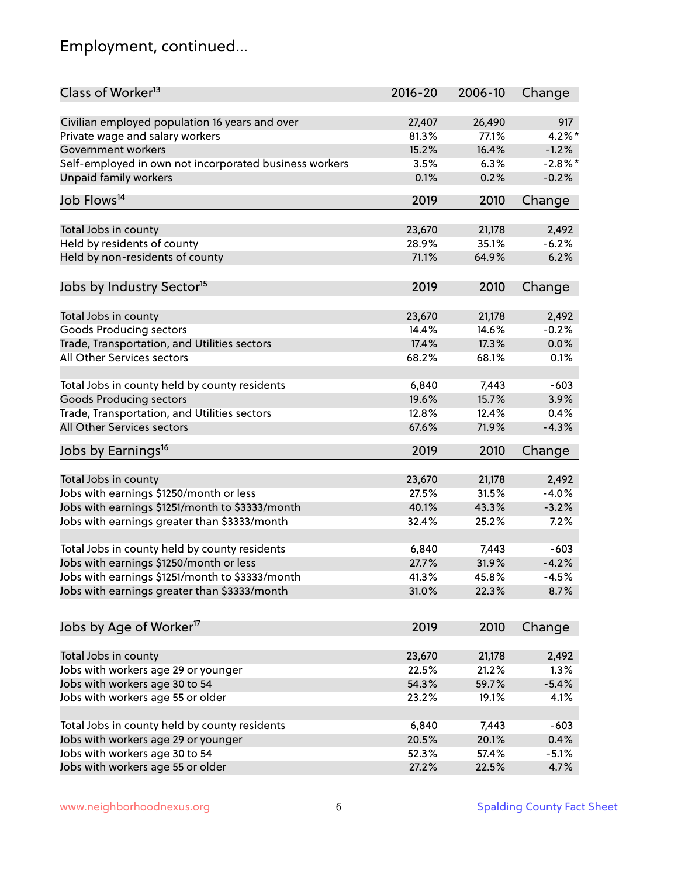## Employment, continued...

| Civilian employed population 16 years and over<br>26,490<br>27,407<br>917<br>77.1%<br>$4.2\%$ *<br>Private wage and salary workers<br>81.3%<br>Government workers<br>15.2%<br>16.4%<br>$-1.2%$<br>Self-employed in own not incorporated business workers<br>$-2.8%$ *<br>3.5%<br>6.3%<br><b>Unpaid family workers</b><br>0.1%<br>0.2%<br>$-0.2%$<br>Job Flows <sup>14</sup><br>2019<br>2010<br>Change<br>Total Jobs in county<br>23,670<br>21,178<br>2,492<br>Held by residents of county<br>28.9%<br>35.1%<br>$-6.2%$<br>6.2%<br>Held by non-residents of county<br>71.1%<br>64.9%<br>Jobs by Industry Sector <sup>15</sup><br>2019<br>2010<br>Change<br>Total Jobs in county<br>23,670<br>21,178<br>2,492<br><b>Goods Producing sectors</b><br>14.4%<br>14.6%<br>$-0.2%$<br>Trade, Transportation, and Utilities sectors<br>17.4%<br>17.3%<br>0.0%<br>All Other Services sectors<br>68.2%<br>68.1%<br>0.1%<br>Total Jobs in county held by county residents<br>6,840<br>7,443<br>$-603$<br><b>Goods Producing sectors</b><br>19.6%<br>15.7%<br>3.9%<br>Trade, Transportation, and Utilities sectors<br>12.8%<br>12.4%<br>0.4%<br>All Other Services sectors<br>$-4.3%$<br>67.6%<br>71.9%<br>Jobs by Earnings <sup>16</sup><br>2019<br>2010<br>Change | Class of Worker <sup>13</sup> | $2016 - 20$ | 2006-10 | Change |
|--------------------------------------------------------------------------------------------------------------------------------------------------------------------------------------------------------------------------------------------------------------------------------------------------------------------------------------------------------------------------------------------------------------------------------------------------------------------------------------------------------------------------------------------------------------------------------------------------------------------------------------------------------------------------------------------------------------------------------------------------------------------------------------------------------------------------------------------------------------------------------------------------------------------------------------------------------------------------------------------------------------------------------------------------------------------------------------------------------------------------------------------------------------------------------------------------------------------------------------------------------|-------------------------------|-------------|---------|--------|
|                                                                                                                                                                                                                                                                                                                                                                                                                                                                                                                                                                                                                                                                                                                                                                                                                                                                                                                                                                                                                                                                                                                                                                                                                                                        |                               |             |         |        |
|                                                                                                                                                                                                                                                                                                                                                                                                                                                                                                                                                                                                                                                                                                                                                                                                                                                                                                                                                                                                                                                                                                                                                                                                                                                        |                               |             |         |        |
|                                                                                                                                                                                                                                                                                                                                                                                                                                                                                                                                                                                                                                                                                                                                                                                                                                                                                                                                                                                                                                                                                                                                                                                                                                                        |                               |             |         |        |
|                                                                                                                                                                                                                                                                                                                                                                                                                                                                                                                                                                                                                                                                                                                                                                                                                                                                                                                                                                                                                                                                                                                                                                                                                                                        |                               |             |         |        |
|                                                                                                                                                                                                                                                                                                                                                                                                                                                                                                                                                                                                                                                                                                                                                                                                                                                                                                                                                                                                                                                                                                                                                                                                                                                        |                               |             |         |        |
|                                                                                                                                                                                                                                                                                                                                                                                                                                                                                                                                                                                                                                                                                                                                                                                                                                                                                                                                                                                                                                                                                                                                                                                                                                                        |                               |             |         |        |
|                                                                                                                                                                                                                                                                                                                                                                                                                                                                                                                                                                                                                                                                                                                                                                                                                                                                                                                                                                                                                                                                                                                                                                                                                                                        |                               |             |         |        |
|                                                                                                                                                                                                                                                                                                                                                                                                                                                                                                                                                                                                                                                                                                                                                                                                                                                                                                                                                                                                                                                                                                                                                                                                                                                        |                               |             |         |        |
|                                                                                                                                                                                                                                                                                                                                                                                                                                                                                                                                                                                                                                                                                                                                                                                                                                                                                                                                                                                                                                                                                                                                                                                                                                                        |                               |             |         |        |
|                                                                                                                                                                                                                                                                                                                                                                                                                                                                                                                                                                                                                                                                                                                                                                                                                                                                                                                                                                                                                                                                                                                                                                                                                                                        |                               |             |         |        |
|                                                                                                                                                                                                                                                                                                                                                                                                                                                                                                                                                                                                                                                                                                                                                                                                                                                                                                                                                                                                                                                                                                                                                                                                                                                        |                               |             |         |        |
|                                                                                                                                                                                                                                                                                                                                                                                                                                                                                                                                                                                                                                                                                                                                                                                                                                                                                                                                                                                                                                                                                                                                                                                                                                                        |                               |             |         |        |
|                                                                                                                                                                                                                                                                                                                                                                                                                                                                                                                                                                                                                                                                                                                                                                                                                                                                                                                                                                                                                                                                                                                                                                                                                                                        |                               |             |         |        |
|                                                                                                                                                                                                                                                                                                                                                                                                                                                                                                                                                                                                                                                                                                                                                                                                                                                                                                                                                                                                                                                                                                                                                                                                                                                        |                               |             |         |        |
|                                                                                                                                                                                                                                                                                                                                                                                                                                                                                                                                                                                                                                                                                                                                                                                                                                                                                                                                                                                                                                                                                                                                                                                                                                                        |                               |             |         |        |
|                                                                                                                                                                                                                                                                                                                                                                                                                                                                                                                                                                                                                                                                                                                                                                                                                                                                                                                                                                                                                                                                                                                                                                                                                                                        |                               |             |         |        |
|                                                                                                                                                                                                                                                                                                                                                                                                                                                                                                                                                                                                                                                                                                                                                                                                                                                                                                                                                                                                                                                                                                                                                                                                                                                        |                               |             |         |        |
|                                                                                                                                                                                                                                                                                                                                                                                                                                                                                                                                                                                                                                                                                                                                                                                                                                                                                                                                                                                                                                                                                                                                                                                                                                                        |                               |             |         |        |
|                                                                                                                                                                                                                                                                                                                                                                                                                                                                                                                                                                                                                                                                                                                                                                                                                                                                                                                                                                                                                                                                                                                                                                                                                                                        |                               |             |         |        |
|                                                                                                                                                                                                                                                                                                                                                                                                                                                                                                                                                                                                                                                                                                                                                                                                                                                                                                                                                                                                                                                                                                                                                                                                                                                        |                               |             |         |        |
|                                                                                                                                                                                                                                                                                                                                                                                                                                                                                                                                                                                                                                                                                                                                                                                                                                                                                                                                                                                                                                                                                                                                                                                                                                                        |                               |             |         |        |
| Total Jobs in county<br>21,178<br>2,492<br>23,670                                                                                                                                                                                                                                                                                                                                                                                                                                                                                                                                                                                                                                                                                                                                                                                                                                                                                                                                                                                                                                                                                                                                                                                                      |                               |             |         |        |
| Jobs with earnings \$1250/month or less<br>27.5%<br>31.5%<br>$-4.0%$                                                                                                                                                                                                                                                                                                                                                                                                                                                                                                                                                                                                                                                                                                                                                                                                                                                                                                                                                                                                                                                                                                                                                                                   |                               |             |         |        |
| Jobs with earnings \$1251/month to \$3333/month<br>$-3.2%$<br>40.1%<br>43.3%                                                                                                                                                                                                                                                                                                                                                                                                                                                                                                                                                                                                                                                                                                                                                                                                                                                                                                                                                                                                                                                                                                                                                                           |                               |             |         |        |
| Jobs with earnings greater than \$3333/month<br>32.4%<br>25.2%<br>7.2%                                                                                                                                                                                                                                                                                                                                                                                                                                                                                                                                                                                                                                                                                                                                                                                                                                                                                                                                                                                                                                                                                                                                                                                 |                               |             |         |        |
|                                                                                                                                                                                                                                                                                                                                                                                                                                                                                                                                                                                                                                                                                                                                                                                                                                                                                                                                                                                                                                                                                                                                                                                                                                                        |                               |             |         |        |
| Total Jobs in county held by county residents<br>6,840<br>7,443<br>$-603$                                                                                                                                                                                                                                                                                                                                                                                                                                                                                                                                                                                                                                                                                                                                                                                                                                                                                                                                                                                                                                                                                                                                                                              |                               |             |         |        |
| Jobs with earnings \$1250/month or less<br>$-4.2%$<br>27.7%<br>31.9%                                                                                                                                                                                                                                                                                                                                                                                                                                                                                                                                                                                                                                                                                                                                                                                                                                                                                                                                                                                                                                                                                                                                                                                   |                               |             |         |        |
| Jobs with earnings \$1251/month to \$3333/month<br>41.3%<br>45.8%<br>$-4.5%$                                                                                                                                                                                                                                                                                                                                                                                                                                                                                                                                                                                                                                                                                                                                                                                                                                                                                                                                                                                                                                                                                                                                                                           |                               |             |         |        |
| 31.0%<br>8.7%<br>Jobs with earnings greater than \$3333/month<br>22.3%                                                                                                                                                                                                                                                                                                                                                                                                                                                                                                                                                                                                                                                                                                                                                                                                                                                                                                                                                                                                                                                                                                                                                                                 |                               |             |         |        |
| Jobs by Age of Worker <sup>17</sup><br>2019<br>2010<br>Change                                                                                                                                                                                                                                                                                                                                                                                                                                                                                                                                                                                                                                                                                                                                                                                                                                                                                                                                                                                                                                                                                                                                                                                          |                               |             |         |        |
|                                                                                                                                                                                                                                                                                                                                                                                                                                                                                                                                                                                                                                                                                                                                                                                                                                                                                                                                                                                                                                                                                                                                                                                                                                                        |                               |             |         |        |
| 23,670<br>Total Jobs in county<br>21,178<br>2,492                                                                                                                                                                                                                                                                                                                                                                                                                                                                                                                                                                                                                                                                                                                                                                                                                                                                                                                                                                                                                                                                                                                                                                                                      |                               |             |         |        |
| Jobs with workers age 29 or younger<br>22.5%<br>21.2%<br>1.3%                                                                                                                                                                                                                                                                                                                                                                                                                                                                                                                                                                                                                                                                                                                                                                                                                                                                                                                                                                                                                                                                                                                                                                                          |                               |             |         |        |
| $-5.4%$<br>Jobs with workers age 30 to 54<br>54.3%<br>59.7%                                                                                                                                                                                                                                                                                                                                                                                                                                                                                                                                                                                                                                                                                                                                                                                                                                                                                                                                                                                                                                                                                                                                                                                            |                               |             |         |        |
| Jobs with workers age 55 or older<br>23.2%<br>4.1%<br>19.1%                                                                                                                                                                                                                                                                                                                                                                                                                                                                                                                                                                                                                                                                                                                                                                                                                                                                                                                                                                                                                                                                                                                                                                                            |                               |             |         |        |
| Total Jobs in county held by county residents<br>6,840<br>7,443<br>$-603$                                                                                                                                                                                                                                                                                                                                                                                                                                                                                                                                                                                                                                                                                                                                                                                                                                                                                                                                                                                                                                                                                                                                                                              |                               |             |         |        |
| Jobs with workers age 29 or younger<br>20.5%<br>20.1%<br>0.4%                                                                                                                                                                                                                                                                                                                                                                                                                                                                                                                                                                                                                                                                                                                                                                                                                                                                                                                                                                                                                                                                                                                                                                                          |                               |             |         |        |
| Jobs with workers age 30 to 54<br>52.3%<br>57.4%<br>$-5.1%$                                                                                                                                                                                                                                                                                                                                                                                                                                                                                                                                                                                                                                                                                                                                                                                                                                                                                                                                                                                                                                                                                                                                                                                            |                               |             |         |        |
| Jobs with workers age 55 or older<br>27.2%<br>4.7%<br>22.5%                                                                                                                                                                                                                                                                                                                                                                                                                                                                                                                                                                                                                                                                                                                                                                                                                                                                                                                                                                                                                                                                                                                                                                                            |                               |             |         |        |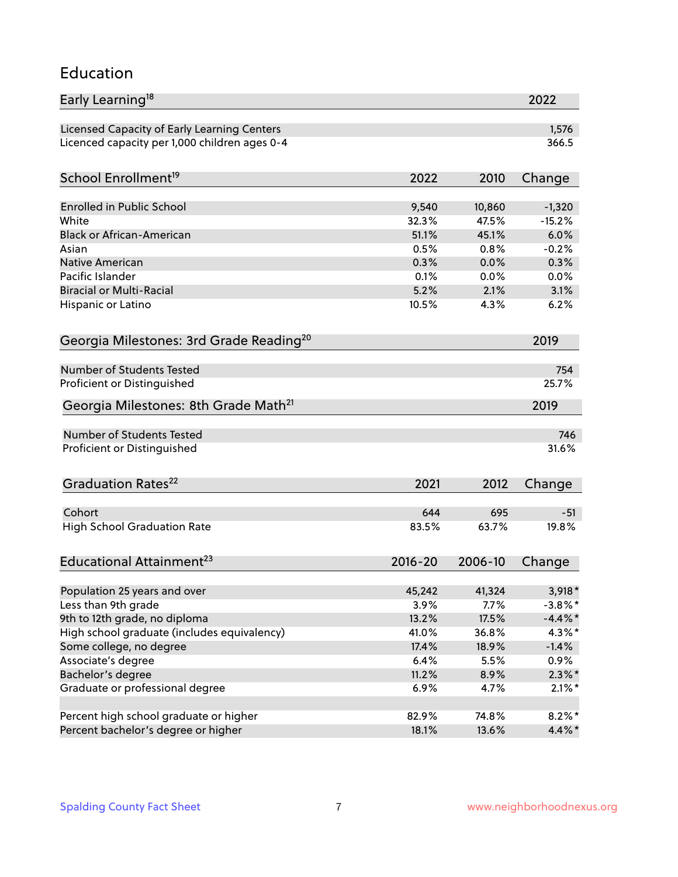#### Education

| Early Learning <sup>18</sup>                        |             |         | 2022       |
|-----------------------------------------------------|-------------|---------|------------|
| Licensed Capacity of Early Learning Centers         |             |         | 1,576      |
| Licenced capacity per 1,000 children ages 0-4       |             |         | 366.5      |
| School Enrollment <sup>19</sup>                     | 2022        | 2010    | Change     |
|                                                     |             |         |            |
| <b>Enrolled in Public School</b>                    | 9,540       | 10,860  | $-1,320$   |
| White                                               | 32.3%       | 47.5%   | $-15.2%$   |
| <b>Black or African-American</b>                    | 51.1%       | 45.1%   | 6.0%       |
| Asian                                               | 0.5%        | 0.8%    | $-0.2%$    |
| Native American                                     | 0.3%        | 0.0%    | 0.3%       |
| Pacific Islander                                    | 0.1%        | 0.0%    | 0.0%       |
| <b>Biracial or Multi-Racial</b>                     | 5.2%        | 2.1%    | 3.1%       |
| Hispanic or Latino                                  | 10.5%       | 4.3%    | 6.2%       |
| Georgia Milestones: 3rd Grade Reading <sup>20</sup> |             |         | 2019       |
|                                                     |             |         |            |
| Number of Students Tested                           |             |         | 754        |
| Proficient or Distinguished                         |             |         | 25.7%      |
| Georgia Milestones: 8th Grade Math <sup>21</sup>    |             |         | 2019       |
| Number of Students Tested                           |             |         | 746        |
| Proficient or Distinguished                         |             |         | 31.6%      |
|                                                     |             |         |            |
| Graduation Rates <sup>22</sup>                      | 2021        | 2012    | Change     |
| Cohort                                              | 644         | 695     | $-51$      |
| <b>High School Graduation Rate</b>                  | 83.5%       | 63.7%   | 19.8%      |
|                                                     |             |         |            |
| Educational Attainment <sup>23</sup>                | $2016 - 20$ | 2006-10 | Change     |
| Population 25 years and over                        | 45,242      | 41,324  | $3,918*$   |
| Less than 9th grade                                 | 3.9%        | 7.7%    | $-3.8\%$ * |
| 9th to 12th grade, no diploma                       | 13.2%       | 17.5%   | $-4.4\%$ * |
| High school graduate (includes equivalency)         | 41.0%       | 36.8%   | $4.3\%$ *  |
| Some college, no degree                             | 17.4%       | 18.9%   | $-1.4%$    |
| Associate's degree                                  | 6.4%        | 5.5%    | $0.9\%$    |
| Bachelor's degree                                   | 11.2%       | 8.9%    | $2.3\%$ *  |
| Graduate or professional degree                     | 6.9%        | 4.7%    | $2.1\%$ *  |
|                                                     |             |         |            |
| Percent high school graduate or higher              | 82.9%       | 74.8%   | $8.2\%$ *  |
| Percent bachelor's degree or higher                 | 18.1%       | 13.6%   | 4.4%*      |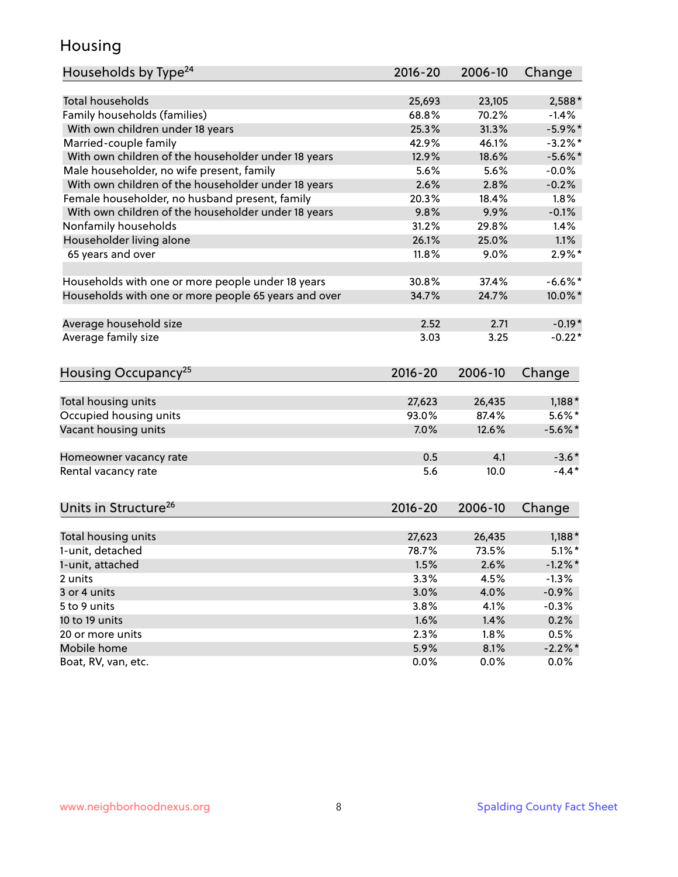### Housing

| <b>Total households</b><br>2,588*<br>25,693<br>23,105<br>Family households (families)<br>68.8%<br>70.2%<br>$-1.4%$<br>$-5.9\%$ *<br>With own children under 18 years<br>25.3%<br>31.3%<br>Married-couple family<br>$-3.2\%$ *<br>42.9%<br>46.1%<br>With own children of the householder under 18 years<br>12.9%<br>18.6%<br>$-5.6\%$ *<br>Male householder, no wife present, family<br>5.6%<br>5.6%<br>$-0.0%$<br>With own children of the householder under 18 years<br>2.6%<br>$-0.2%$<br>2.8%<br>Female householder, no husband present, family<br>20.3%<br>18.4%<br>1.8%<br>With own children of the householder under 18 years<br>9.8%<br>9.9%<br>$-0.1%$<br>Nonfamily households<br>31.2%<br>29.8%<br>1.4%<br>Householder living alone<br>26.1%<br>1.1%<br>25.0%<br>65 years and over<br>$2.9\%$ *<br>11.8%<br>9.0%<br>30.8%<br>37.4%<br>$-6.6%$ *<br>Households with one or more people under 18 years<br>Households with one or more people 65 years and over<br>34.7%<br>24.7%<br>10.0%*<br>$-0.19*$<br>Average household size<br>2.71<br>2.52<br>Average family size<br>$-0.22*$<br>3.03<br>3.25<br>Housing Occupancy <sup>25</sup><br>2016-20<br>Change<br>2006-10<br>Total housing units<br>26,435<br>$1,188*$<br>27,623<br>$5.6\%$ *<br>Occupied housing units<br>93.0%<br>87.4%<br>Vacant housing units<br>7.0%<br>12.6%<br>$-5.6\%$ *<br>$-3.6*$<br>0.5<br>4.1<br>Homeowner vacancy rate<br>10.0<br>$-4.4*$<br>Rental vacancy rate<br>5.6<br>Units in Structure <sup>26</sup><br>$2016 - 20$<br>2006-10<br>Change<br>27,623<br>26,435<br>$1,188*$<br>Total housing units<br>$5.1\%$ *<br>1-unit, detached<br>78.7%<br>73.5%<br>1-unit, attached<br>1.5%<br>2.6%<br>$-1.2\%$ *<br>3.3%<br>4.5%<br>2 units<br>$-1.3%$<br>3 or 4 units<br>3.0%<br>4.0%<br>$-0.9\%$<br>5 to 9 units<br>3.8%<br>$-0.3%$<br>4.1%<br>10 to 19 units<br>1.6%<br>1.4%<br>0.2%<br>0.5%<br>20 or more units<br>2.3%<br>1.8%<br>Mobile home<br>5.9%<br>8.1%<br>$-2.2%$ * | Households by Type <sup>24</sup> | 2016-20 | 2006-10 | Change  |
|-------------------------------------------------------------------------------------------------------------------------------------------------------------------------------------------------------------------------------------------------------------------------------------------------------------------------------------------------------------------------------------------------------------------------------------------------------------------------------------------------------------------------------------------------------------------------------------------------------------------------------------------------------------------------------------------------------------------------------------------------------------------------------------------------------------------------------------------------------------------------------------------------------------------------------------------------------------------------------------------------------------------------------------------------------------------------------------------------------------------------------------------------------------------------------------------------------------------------------------------------------------------------------------------------------------------------------------------------------------------------------------------------------------------------------------------------------------------------------------------------------------------------------------------------------------------------------------------------------------------------------------------------------------------------------------------------------------------------------------------------------------------------------------------------------------------------------------------------------------------------------------------------------------------------------------------------------------|----------------------------------|---------|---------|---------|
|                                                                                                                                                                                                                                                                                                                                                                                                                                                                                                                                                                                                                                                                                                                                                                                                                                                                                                                                                                                                                                                                                                                                                                                                                                                                                                                                                                                                                                                                                                                                                                                                                                                                                                                                                                                                                                                                                                                                                             |                                  |         |         |         |
|                                                                                                                                                                                                                                                                                                                                                                                                                                                                                                                                                                                                                                                                                                                                                                                                                                                                                                                                                                                                                                                                                                                                                                                                                                                                                                                                                                                                                                                                                                                                                                                                                                                                                                                                                                                                                                                                                                                                                             |                                  |         |         |         |
|                                                                                                                                                                                                                                                                                                                                                                                                                                                                                                                                                                                                                                                                                                                                                                                                                                                                                                                                                                                                                                                                                                                                                                                                                                                                                                                                                                                                                                                                                                                                                                                                                                                                                                                                                                                                                                                                                                                                                             |                                  |         |         |         |
|                                                                                                                                                                                                                                                                                                                                                                                                                                                                                                                                                                                                                                                                                                                                                                                                                                                                                                                                                                                                                                                                                                                                                                                                                                                                                                                                                                                                                                                                                                                                                                                                                                                                                                                                                                                                                                                                                                                                                             |                                  |         |         |         |
|                                                                                                                                                                                                                                                                                                                                                                                                                                                                                                                                                                                                                                                                                                                                                                                                                                                                                                                                                                                                                                                                                                                                                                                                                                                                                                                                                                                                                                                                                                                                                                                                                                                                                                                                                                                                                                                                                                                                                             |                                  |         |         |         |
|                                                                                                                                                                                                                                                                                                                                                                                                                                                                                                                                                                                                                                                                                                                                                                                                                                                                                                                                                                                                                                                                                                                                                                                                                                                                                                                                                                                                                                                                                                                                                                                                                                                                                                                                                                                                                                                                                                                                                             |                                  |         |         |         |
|                                                                                                                                                                                                                                                                                                                                                                                                                                                                                                                                                                                                                                                                                                                                                                                                                                                                                                                                                                                                                                                                                                                                                                                                                                                                                                                                                                                                                                                                                                                                                                                                                                                                                                                                                                                                                                                                                                                                                             |                                  |         |         |         |
|                                                                                                                                                                                                                                                                                                                                                                                                                                                                                                                                                                                                                                                                                                                                                                                                                                                                                                                                                                                                                                                                                                                                                                                                                                                                                                                                                                                                                                                                                                                                                                                                                                                                                                                                                                                                                                                                                                                                                             |                                  |         |         |         |
|                                                                                                                                                                                                                                                                                                                                                                                                                                                                                                                                                                                                                                                                                                                                                                                                                                                                                                                                                                                                                                                                                                                                                                                                                                                                                                                                                                                                                                                                                                                                                                                                                                                                                                                                                                                                                                                                                                                                                             |                                  |         |         |         |
|                                                                                                                                                                                                                                                                                                                                                                                                                                                                                                                                                                                                                                                                                                                                                                                                                                                                                                                                                                                                                                                                                                                                                                                                                                                                                                                                                                                                                                                                                                                                                                                                                                                                                                                                                                                                                                                                                                                                                             |                                  |         |         |         |
|                                                                                                                                                                                                                                                                                                                                                                                                                                                                                                                                                                                                                                                                                                                                                                                                                                                                                                                                                                                                                                                                                                                                                                                                                                                                                                                                                                                                                                                                                                                                                                                                                                                                                                                                                                                                                                                                                                                                                             |                                  |         |         |         |
|                                                                                                                                                                                                                                                                                                                                                                                                                                                                                                                                                                                                                                                                                                                                                                                                                                                                                                                                                                                                                                                                                                                                                                                                                                                                                                                                                                                                                                                                                                                                                                                                                                                                                                                                                                                                                                                                                                                                                             |                                  |         |         |         |
|                                                                                                                                                                                                                                                                                                                                                                                                                                                                                                                                                                                                                                                                                                                                                                                                                                                                                                                                                                                                                                                                                                                                                                                                                                                                                                                                                                                                                                                                                                                                                                                                                                                                                                                                                                                                                                                                                                                                                             |                                  |         |         |         |
|                                                                                                                                                                                                                                                                                                                                                                                                                                                                                                                                                                                                                                                                                                                                                                                                                                                                                                                                                                                                                                                                                                                                                                                                                                                                                                                                                                                                                                                                                                                                                                                                                                                                                                                                                                                                                                                                                                                                                             |                                  |         |         |         |
|                                                                                                                                                                                                                                                                                                                                                                                                                                                                                                                                                                                                                                                                                                                                                                                                                                                                                                                                                                                                                                                                                                                                                                                                                                                                                                                                                                                                                                                                                                                                                                                                                                                                                                                                                                                                                                                                                                                                                             |                                  |         |         |         |
|                                                                                                                                                                                                                                                                                                                                                                                                                                                                                                                                                                                                                                                                                                                                                                                                                                                                                                                                                                                                                                                                                                                                                                                                                                                                                                                                                                                                                                                                                                                                                                                                                                                                                                                                                                                                                                                                                                                                                             |                                  |         |         |         |
|                                                                                                                                                                                                                                                                                                                                                                                                                                                                                                                                                                                                                                                                                                                                                                                                                                                                                                                                                                                                                                                                                                                                                                                                                                                                                                                                                                                                                                                                                                                                                                                                                                                                                                                                                                                                                                                                                                                                                             |                                  |         |         |         |
|                                                                                                                                                                                                                                                                                                                                                                                                                                                                                                                                                                                                                                                                                                                                                                                                                                                                                                                                                                                                                                                                                                                                                                                                                                                                                                                                                                                                                                                                                                                                                                                                                                                                                                                                                                                                                                                                                                                                                             |                                  |         |         |         |
|                                                                                                                                                                                                                                                                                                                                                                                                                                                                                                                                                                                                                                                                                                                                                                                                                                                                                                                                                                                                                                                                                                                                                                                                                                                                                                                                                                                                                                                                                                                                                                                                                                                                                                                                                                                                                                                                                                                                                             |                                  |         |         |         |
|                                                                                                                                                                                                                                                                                                                                                                                                                                                                                                                                                                                                                                                                                                                                                                                                                                                                                                                                                                                                                                                                                                                                                                                                                                                                                                                                                                                                                                                                                                                                                                                                                                                                                                                                                                                                                                                                                                                                                             |                                  |         |         |         |
|                                                                                                                                                                                                                                                                                                                                                                                                                                                                                                                                                                                                                                                                                                                                                                                                                                                                                                                                                                                                                                                                                                                                                                                                                                                                                                                                                                                                                                                                                                                                                                                                                                                                                                                                                                                                                                                                                                                                                             |                                  |         |         |         |
|                                                                                                                                                                                                                                                                                                                                                                                                                                                                                                                                                                                                                                                                                                                                                                                                                                                                                                                                                                                                                                                                                                                                                                                                                                                                                                                                                                                                                                                                                                                                                                                                                                                                                                                                                                                                                                                                                                                                                             |                                  |         |         |         |
|                                                                                                                                                                                                                                                                                                                                                                                                                                                                                                                                                                                                                                                                                                                                                                                                                                                                                                                                                                                                                                                                                                                                                                                                                                                                                                                                                                                                                                                                                                                                                                                                                                                                                                                                                                                                                                                                                                                                                             |                                  |         |         |         |
|                                                                                                                                                                                                                                                                                                                                                                                                                                                                                                                                                                                                                                                                                                                                                                                                                                                                                                                                                                                                                                                                                                                                                                                                                                                                                                                                                                                                                                                                                                                                                                                                                                                                                                                                                                                                                                                                                                                                                             |                                  |         |         |         |
|                                                                                                                                                                                                                                                                                                                                                                                                                                                                                                                                                                                                                                                                                                                                                                                                                                                                                                                                                                                                                                                                                                                                                                                                                                                                                                                                                                                                                                                                                                                                                                                                                                                                                                                                                                                                                                                                                                                                                             |                                  |         |         |         |
|                                                                                                                                                                                                                                                                                                                                                                                                                                                                                                                                                                                                                                                                                                                                                                                                                                                                                                                                                                                                                                                                                                                                                                                                                                                                                                                                                                                                                                                                                                                                                                                                                                                                                                                                                                                                                                                                                                                                                             |                                  |         |         |         |
|                                                                                                                                                                                                                                                                                                                                                                                                                                                                                                                                                                                                                                                                                                                                                                                                                                                                                                                                                                                                                                                                                                                                                                                                                                                                                                                                                                                                                                                                                                                                                                                                                                                                                                                                                                                                                                                                                                                                                             |                                  |         |         |         |
|                                                                                                                                                                                                                                                                                                                                                                                                                                                                                                                                                                                                                                                                                                                                                                                                                                                                                                                                                                                                                                                                                                                                                                                                                                                                                                                                                                                                                                                                                                                                                                                                                                                                                                                                                                                                                                                                                                                                                             |                                  |         |         |         |
|                                                                                                                                                                                                                                                                                                                                                                                                                                                                                                                                                                                                                                                                                                                                                                                                                                                                                                                                                                                                                                                                                                                                                                                                                                                                                                                                                                                                                                                                                                                                                                                                                                                                                                                                                                                                                                                                                                                                                             |                                  |         |         |         |
|                                                                                                                                                                                                                                                                                                                                                                                                                                                                                                                                                                                                                                                                                                                                                                                                                                                                                                                                                                                                                                                                                                                                                                                                                                                                                                                                                                                                                                                                                                                                                                                                                                                                                                                                                                                                                                                                                                                                                             |                                  |         |         |         |
|                                                                                                                                                                                                                                                                                                                                                                                                                                                                                                                                                                                                                                                                                                                                                                                                                                                                                                                                                                                                                                                                                                                                                                                                                                                                                                                                                                                                                                                                                                                                                                                                                                                                                                                                                                                                                                                                                                                                                             |                                  |         |         |         |
|                                                                                                                                                                                                                                                                                                                                                                                                                                                                                                                                                                                                                                                                                                                                                                                                                                                                                                                                                                                                                                                                                                                                                                                                                                                                                                                                                                                                                                                                                                                                                                                                                                                                                                                                                                                                                                                                                                                                                             |                                  |         |         |         |
|                                                                                                                                                                                                                                                                                                                                                                                                                                                                                                                                                                                                                                                                                                                                                                                                                                                                                                                                                                                                                                                                                                                                                                                                                                                                                                                                                                                                                                                                                                                                                                                                                                                                                                                                                                                                                                                                                                                                                             |                                  |         |         |         |
|                                                                                                                                                                                                                                                                                                                                                                                                                                                                                                                                                                                                                                                                                                                                                                                                                                                                                                                                                                                                                                                                                                                                                                                                                                                                                                                                                                                                                                                                                                                                                                                                                                                                                                                                                                                                                                                                                                                                                             |                                  |         |         |         |
|                                                                                                                                                                                                                                                                                                                                                                                                                                                                                                                                                                                                                                                                                                                                                                                                                                                                                                                                                                                                                                                                                                                                                                                                                                                                                                                                                                                                                                                                                                                                                                                                                                                                                                                                                                                                                                                                                                                                                             |                                  |         |         |         |
|                                                                                                                                                                                                                                                                                                                                                                                                                                                                                                                                                                                                                                                                                                                                                                                                                                                                                                                                                                                                                                                                                                                                                                                                                                                                                                                                                                                                                                                                                                                                                                                                                                                                                                                                                                                                                                                                                                                                                             |                                  |         |         |         |
|                                                                                                                                                                                                                                                                                                                                                                                                                                                                                                                                                                                                                                                                                                                                                                                                                                                                                                                                                                                                                                                                                                                                                                                                                                                                                                                                                                                                                                                                                                                                                                                                                                                                                                                                                                                                                                                                                                                                                             |                                  |         |         |         |
|                                                                                                                                                                                                                                                                                                                                                                                                                                                                                                                                                                                                                                                                                                                                                                                                                                                                                                                                                                                                                                                                                                                                                                                                                                                                                                                                                                                                                                                                                                                                                                                                                                                                                                                                                                                                                                                                                                                                                             | Boat, RV, van, etc.              | 0.0%    | 0.0%    | $0.0\%$ |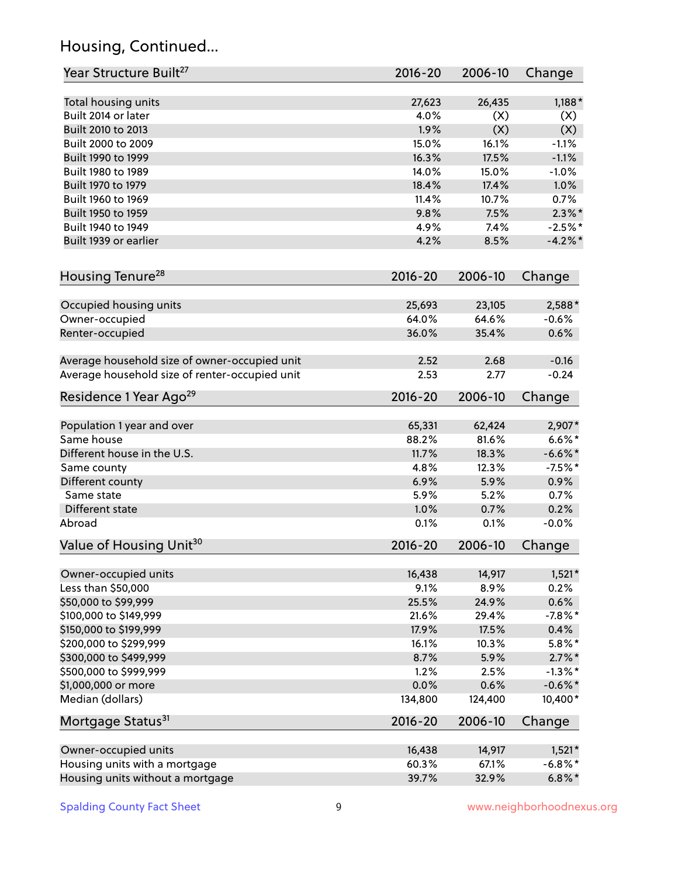## Housing, Continued...

| Year Structure Built <sup>27</sup>             | 2016-20     | 2006-10 | Change     |
|------------------------------------------------|-------------|---------|------------|
| Total housing units                            | 27,623      | 26,435  | $1,188*$   |
| Built 2014 or later                            | 4.0%        | (X)     | (X)        |
| Built 2010 to 2013                             | 1.9%        | (X)     | (X)        |
| Built 2000 to 2009                             | 15.0%       | 16.1%   | $-1.1%$    |
| Built 1990 to 1999                             | 16.3%       | 17.5%   | $-1.1%$    |
| Built 1980 to 1989                             | 14.0%       | 15.0%   | $-1.0%$    |
| Built 1970 to 1979                             | 18.4%       | 17.4%   | 1.0%       |
| Built 1960 to 1969                             | 11.4%       | 10.7%   | 0.7%       |
| Built 1950 to 1959                             | 9.8%        | 7.5%    | $2.3\%$ *  |
| Built 1940 to 1949                             | 4.9%        | 7.4%    | $-2.5%$ *  |
| Built 1939 or earlier                          | 4.2%        | 8.5%    | $-4.2\%$ * |
| Housing Tenure <sup>28</sup>                   | $2016 - 20$ | 2006-10 | Change     |
|                                                |             |         |            |
| Occupied housing units                         | 25,693      | 23,105  | 2,588*     |
| Owner-occupied                                 | 64.0%       | 64.6%   | $-0.6%$    |
| Renter-occupied                                | 36.0%       | 35.4%   | 0.6%       |
| Average household size of owner-occupied unit  | 2.52        | 2.68    | $-0.16$    |
| Average household size of renter-occupied unit | 2.53        | 2.77    | $-0.24$    |
| Residence 1 Year Ago <sup>29</sup>             | $2016 - 20$ | 2006-10 | Change     |
| Population 1 year and over                     | 65,331      | 62,424  | 2,907*     |
| Same house                                     | 88.2%       | 81.6%   | $6.6\%$ *  |
| Different house in the U.S.                    | 11.7%       | 18.3%   | $-6.6\%$ * |
| Same county                                    | 4.8%        | 12.3%   | $-7.5%$ *  |
| Different county                               | 6.9%        | 5.9%    | 0.9%       |
| Same state                                     | 5.9%        | 5.2%    | 0.7%       |
| Different state                                | 1.0%        | 0.7%    | 0.2%       |
| Abroad                                         | 0.1%        | 0.1%    | $-0.0%$    |
| Value of Housing Unit <sup>30</sup>            | $2016 - 20$ | 2006-10 | Change     |
|                                                |             |         |            |
| Owner-occupied units                           | 16,438      | 14,917  | $1,521*$   |
| Less than \$50,000                             | 9.1%        | 8.9%    | 0.2%       |
| \$50,000 to \$99,999                           | 25.5%       | 24.9%   | 0.6%       |
| \$100,000 to \$149,999                         | 21.6%       | 29.4%   | $-7.8%$ *  |
| \$150,000 to \$199,999                         | 17.9%       | 17.5%   | 0.4%       |
| \$200,000 to \$299,999                         | 16.1%       | 10.3%   | $5.8\%$ *  |
| \$300,000 to \$499,999                         | 8.7%        | 5.9%    | $2.7\%$ *  |
| \$500,000 to \$999,999                         | 1.2%        | 2.5%    | $-1.3\%$ * |
| \$1,000,000 or more                            | 0.0%        | 0.6%    | $-0.6%$ *  |
| Median (dollars)                               | 134,800     | 124,400 | 10,400*    |
| Mortgage Status <sup>31</sup>                  | $2016 - 20$ | 2006-10 | Change     |
| Owner-occupied units                           | 16,438      | 14,917  | $1,521*$   |
| Housing units with a mortgage                  | 60.3%       | 67.1%   | $-6.8\%$ * |
| Housing units without a mortgage               | 39.7%       | 32.9%   | $6.8\%$ *  |
|                                                |             |         |            |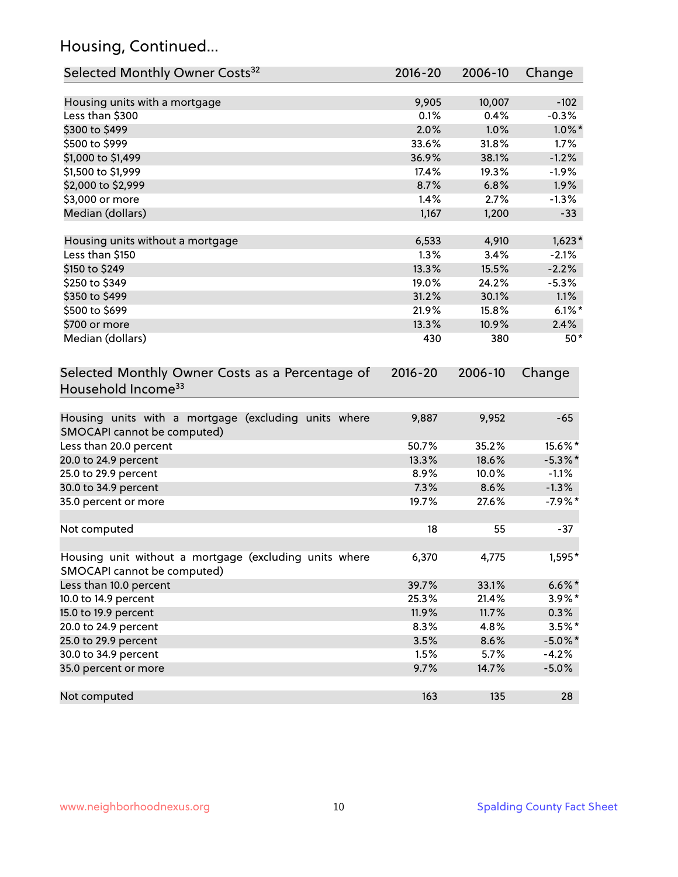## Housing, Continued...

| Selected Monthly Owner Costs <sup>32</sup>                                            | $2016 - 20$ | 2006-10 | Change     |
|---------------------------------------------------------------------------------------|-------------|---------|------------|
| Housing units with a mortgage                                                         | 9,905       | 10,007  | $-102$     |
| Less than \$300                                                                       | 0.1%        | 0.4%    | $-0.3%$    |
| \$300 to \$499                                                                        | 2.0%        | 1.0%    | $1.0\%$ *  |
| \$500 to \$999                                                                        | 33.6%       | 31.8%   | 1.7%       |
| \$1,000 to \$1,499                                                                    | 36.9%       | 38.1%   | $-1.2%$    |
| \$1,500 to \$1,999                                                                    | 17.4%       | 19.3%   | $-1.9%$    |
| \$2,000 to \$2,999                                                                    | 8.7%        | 6.8%    | 1.9%       |
| \$3,000 or more                                                                       | 1.4%        | 2.7%    | $-1.3%$    |
| Median (dollars)                                                                      | 1,167       | 1,200   | $-33$      |
| Housing units without a mortgage                                                      | 6,533       | 4,910   | $1,623*$   |
| Less than \$150                                                                       | 1.3%        | 3.4%    | $-2.1%$    |
| \$150 to \$249                                                                        | 13.3%       | 15.5%   | $-2.2%$    |
| \$250 to \$349                                                                        | 19.0%       | 24.2%   | $-5.3%$    |
| \$350 to \$499                                                                        | 31.2%       | 30.1%   | 1.1%       |
| \$500 to \$699                                                                        | 21.9%       | 15.8%   | $6.1\%$ *  |
| \$700 or more                                                                         | 13.3%       | 10.9%   | 2.4%       |
| Median (dollars)                                                                      | 430         | 380     | $50*$      |
| Selected Monthly Owner Costs as a Percentage of<br>Household Income <sup>33</sup>     | $2016 - 20$ | 2006-10 | Change     |
| Housing units with a mortgage (excluding units where<br>SMOCAPI cannot be computed)   | 9,887       | 9,952   | $-65$      |
| Less than 20.0 percent                                                                | 50.7%       | 35.2%   | 15.6%*     |
| 20.0 to 24.9 percent                                                                  | 13.3%       | 18.6%   | $-5.3\%$ * |
| 25.0 to 29.9 percent                                                                  | 8.9%        | 10.0%   | $-1.1%$    |
| 30.0 to 34.9 percent                                                                  | 7.3%        | 8.6%    | $-1.3%$    |
| 35.0 percent or more                                                                  | 19.7%       | 27.6%   | $-7.9%$ *  |
| Not computed                                                                          | 18          | 55      | $-37$      |
| Housing unit without a mortgage (excluding units where<br>SMOCAPI cannot be computed) | 6,370       | 4,775   | 1,595*     |
| Less than 10.0 percent                                                                | 39.7%       | 33.1%   | $6.6\% *$  |
| 10.0 to 14.9 percent                                                                  | 25.3%       | 21.4%   | $3.9\%$ *  |
| 15.0 to 19.9 percent                                                                  | 11.9%       | 11.7%   | 0.3%       |
| 20.0 to 24.9 percent                                                                  | 8.3%        | 4.8%    | $3.5\%$ *  |
| 25.0 to 29.9 percent                                                                  | 3.5%        | 8.6%    | $-5.0\%$ * |
| 30.0 to 34.9 percent                                                                  | 1.5%        | 5.7%    | $-4.2%$    |
| 35.0 percent or more                                                                  | 9.7%        | 14.7%   | $-5.0%$    |
| Not computed                                                                          | 163         | 135     | 28         |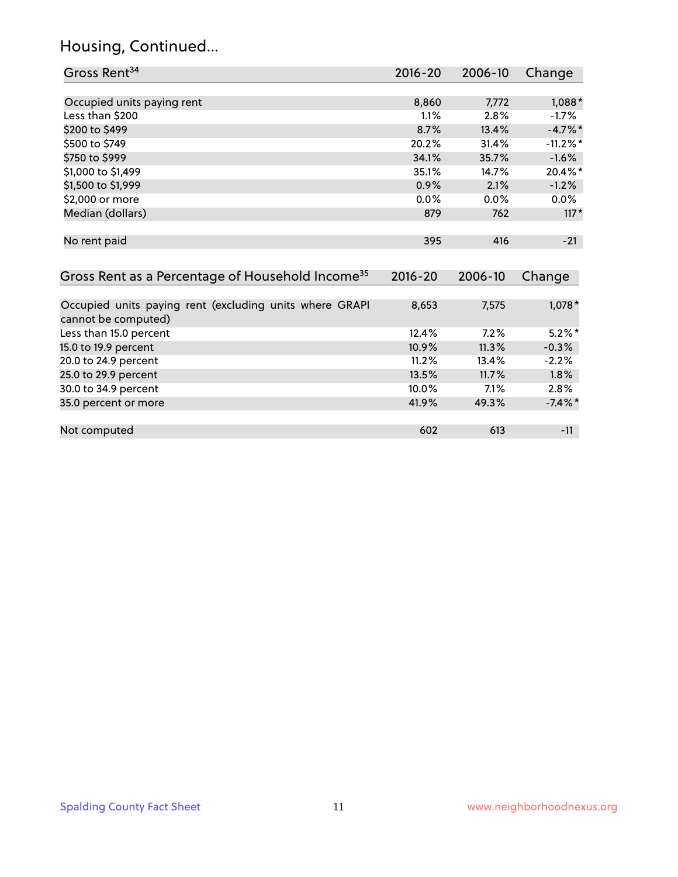## Housing, Continued...

| Gross Rent <sup>34</sup>                                                       | 2016-20     | 2006-10 | Change      |
|--------------------------------------------------------------------------------|-------------|---------|-------------|
|                                                                                |             |         |             |
| Occupied units paying rent                                                     | 8,860       | 7,772   | 1,088*      |
| Less than \$200                                                                | 1.1%        | 2.8%    | $-1.7%$     |
| \$200 to \$499                                                                 | 8.7%        | 13.4%   | $-4.7%$ *   |
| \$500 to \$749                                                                 | 20.2%       | 31.4%   | $-11.2\%$ * |
| \$750 to \$999                                                                 | 34.1%       | 35.7%   | $-1.6%$     |
| \$1,000 to \$1,499                                                             | 35.1%       | 14.7%   | 20.4%*      |
| \$1,500 to \$1,999                                                             | 0.9%        | 2.1%    | $-1.2%$     |
| \$2,000 or more                                                                | 0.0%        | $0.0\%$ | $0.0\%$     |
| Median (dollars)                                                               | 879         | 762     | $117*$      |
|                                                                                |             |         |             |
| No rent paid                                                                   | 395         | 416     | $-21$       |
|                                                                                |             |         |             |
| Gross Rent as a Percentage of Household Income <sup>35</sup>                   | $2016 - 20$ | 2006-10 | Change      |
|                                                                                |             |         |             |
| Occupied units paying rent (excluding units where GRAPI<br>cannot be computed) | 8,653       | 7,575   | $1,078*$    |
| Less than 15.0 percent                                                         | 12.4%       | 7.2%    | $5.2\%$ *   |
| 15.0 to 19.9 percent                                                           | 10.9%       | 11.3%   | $-0.3%$     |
| 20.0 to 24.9 percent                                                           | 11.2%       | 13.4%   | $-2.2%$     |
| 25.0 to 29.9 percent                                                           | 13.5%       | 11.7%   | 1.8%        |
| 30.0 to 34.9 percent                                                           | 10.0%       | 7.1%    | 2.8%        |
| 35.0 percent or more                                                           | 41.9%       | 49.3%   | $-7.4\%$ *  |
|                                                                                |             |         |             |
| Not computed                                                                   | 602         | 613     | $-11$       |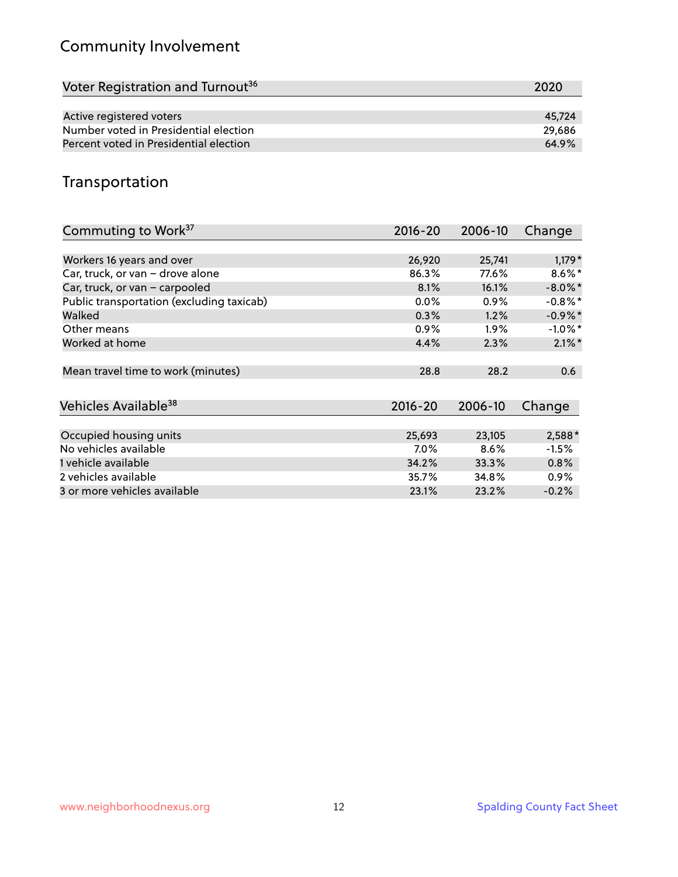## Community Involvement

| Voter Registration and Turnout <sup>36</sup> | 2020   |
|----------------------------------------------|--------|
|                                              |        |
| Active registered voters                     | 45.724 |
| Number voted in Presidential election        | 29,686 |
| Percent voted in Presidential election       | 64.9%  |

## Transportation

| Commuting to Work <sup>37</sup>           | 2016-20     | 2006-10 | Change     |
|-------------------------------------------|-------------|---------|------------|
|                                           |             |         |            |
| Workers 16 years and over                 | 26,920      | 25,741  | $1,179*$   |
| Car, truck, or van - drove alone          | 86.3%       | 77.6%   | $8.6\%$ *  |
| Car, truck, or van - carpooled            | 8.1%        | 16.1%   | $-8.0\%$ * |
| Public transportation (excluding taxicab) | $0.0\%$     | $0.9\%$ | $-0.8\%$ * |
| Walked                                    | 0.3%        | 1.2%    | $-0.9\%$ * |
| Other means                               | $0.9\%$     | $1.9\%$ | $-1.0\%$ * |
| Worked at home                            | 4.4%        | 2.3%    | $2.1\%$ *  |
|                                           |             |         |            |
| Mean travel time to work (minutes)        | 28.8        | 28.2    | 0.6        |
|                                           |             |         |            |
| Vehicles Available <sup>38</sup>          | $2016 - 20$ | 2006-10 | Change     |
|                                           |             |         |            |
| Occupied housing units                    | 25,693      | 23,105  | $2,588*$   |
| No vehicles available                     | $7.0\%$     | 8.6%    | $-1.5%$    |
| 1 vehicle available                       | 34.2%       | 33.3%   | $0.8\%$    |
| 2 vehicles available                      | 35.7%       | 34.8%   | $0.9\%$    |
| 3 or more vehicles available              | 23.1%       | 23.2%   | $-0.2%$    |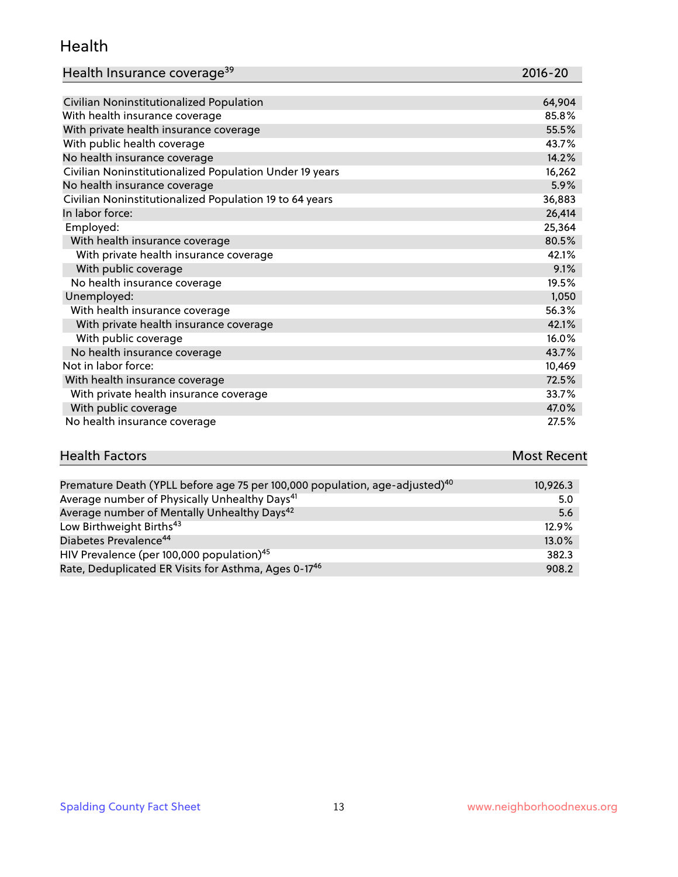#### Health

| Health Insurance coverage <sup>39</sup> | 2016-20 |
|-----------------------------------------|---------|
|-----------------------------------------|---------|

| Civilian Noninstitutionalized Population                | 64,904 |
|---------------------------------------------------------|--------|
| With health insurance coverage                          | 85.8%  |
| With private health insurance coverage                  | 55.5%  |
| With public health coverage                             | 43.7%  |
| No health insurance coverage                            | 14.2%  |
| Civilian Noninstitutionalized Population Under 19 years | 16,262 |
| No health insurance coverage                            | 5.9%   |
| Civilian Noninstitutionalized Population 19 to 64 years | 36,883 |
| In labor force:                                         | 26,414 |
| Employed:                                               | 25,364 |
| With health insurance coverage                          | 80.5%  |
| With private health insurance coverage                  | 42.1%  |
| With public coverage                                    | 9.1%   |
| No health insurance coverage                            | 19.5%  |
| Unemployed:                                             | 1,050  |
| With health insurance coverage                          | 56.3%  |
| With private health insurance coverage                  | 42.1%  |
| With public coverage                                    | 16.0%  |
| No health insurance coverage                            | 43.7%  |
| Not in labor force:                                     | 10,469 |
| With health insurance coverage                          | 72.5%  |
| With private health insurance coverage                  | 33.7%  |
| With public coverage                                    | 47.0%  |
| No health insurance coverage                            | 27.5%  |

# **Health Factors Most Recent** And The Control of the Control of The Control of The Control of The Control of The Control of The Control of The Control of The Control of The Control of The Control of The Control of The Contr

| Premature Death (YPLL before age 75 per 100,000 population, age-adjusted) <sup>40</sup> | 10,926.3 |
|-----------------------------------------------------------------------------------------|----------|
| Average number of Physically Unhealthy Days <sup>41</sup>                               | 5.0      |
| Average number of Mentally Unhealthy Days <sup>42</sup>                                 | 5.6      |
| Low Birthweight Births <sup>43</sup>                                                    | $12.9\%$ |
| Diabetes Prevalence <sup>44</sup>                                                       | 13.0%    |
| HIV Prevalence (per 100,000 population) <sup>45</sup>                                   | 382.3    |
| Rate, Deduplicated ER Visits for Asthma, Ages 0-17 <sup>46</sup>                        | 908.2    |